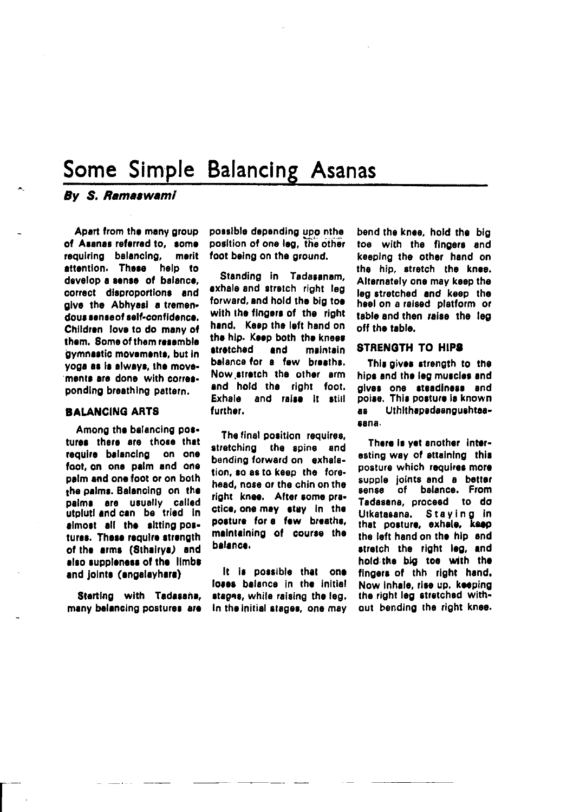# Some Simple Balancing Asanas

## By S. Ramaswami

Apart from the many group of Asanas referred to, some requiring balancing, merit attention. These help to develop a sense of balance. correct disproportions and give the Abhyasi a tremendous sense of self-confidence. Children love to do many of them. Some of them resemble gymnastic movements, but in voga as is always, the movements are done with corresponding breathing pattern.

#### **BALANCING ARTS**

Among the balancing postures there are those that require balancing on one foot, on one paim and one palm and one foot or on both the palms. Balancing on the palms are usually called utpluti and can be tried in almost all the sitting postures. These require strength of the arms (Sthairya) and also suppleness of the limbs and joints (angalayhara)

Starting with Tadasana, many belancing postures are possible depending upo nthe position of one leg. the other foot being on the ground.

Standing in Tadasanam. exhale and stretch right leg forward, and hold the big toe with the fingers of the right hand. Keep the left hand on the hip. Keep both the knees atratched and maintain balance for a few breaths. Now stretch the other arm and hold the right foot. Exhale and raise it still further.

The final position requires, stretching the spine and bending forward on exhalation, so as to keep the forehead, nose or the chin on the right knee. After some practice, one may stay in the posture for a few breaths, maintaining of course the balance.

It is possible that one loses balance in the initial stages, while raising the leg. In the initial stages, one may

bend the knee, hold the big toe with the fingers and keeping the other hand on the hip, stretch the knee. Alternately one may keep the leg stretched and keep the heel on a raised platform or table and then raise the leg off the table.

#### **STRENGTH TO HIPS**

This gives strength to the hips and the leg muscles and gives one steadiness and poise. This posture is known Uthithapadaangushtaa**as** sana.

There is yet another interesting way of attaining this posture which requires more supple joints and a better sense of balance. From Tadasana, proceed to do Utkatasana. Staying in<br>that posture, exhale, keep the left hand on the hip and stretch the right leg, and hold the big too with the fingers of thh right hand. Now inhale, rise up. keeping the right leg stretched without bending the right knee.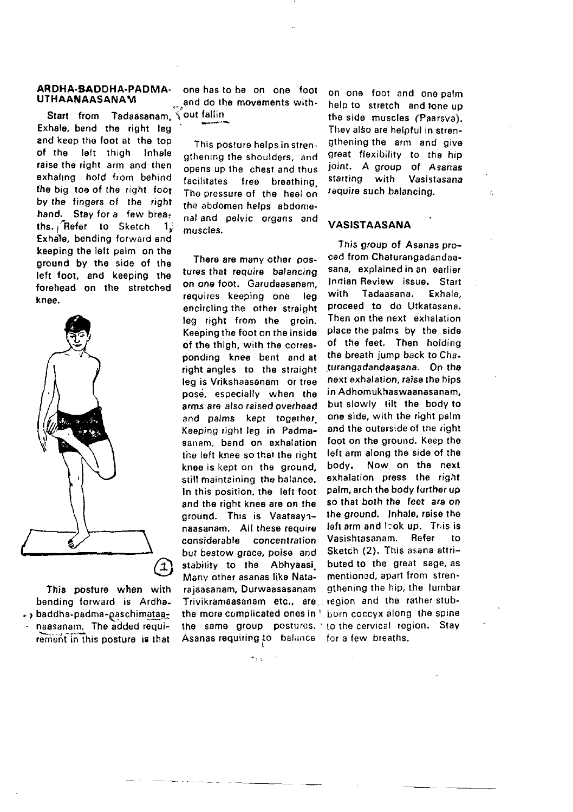## ARDHA-BADDHA-PADMA- one has to be on one foot<br>UTHAANAASANAM and do the movements with

and keep the foot at the top<br>of the left thigh Inhale of the left thigh raise the right arm and then exhaling hold from behind the big toe of the right foot by the tingors of the right hand. Stay for a few breaths. Refer to Sketch 1. Exhale, bending forward and keeping the left palm on the ground by the side of the left foot, and keeping the forehead on the stretched knee. Tadaasanam, Exhale, bend the right leg



This posture when with bending forward is Ardha- $\cdot$ , baddha-padma-paschimataa-. naasanam. The added roquirement in this posture is that

UTHAANAASANAVI .\*,and do rhe mov6ments wirh-

This postura helps in strengthening the shoulders, and opens up the chest and thus facilitates free breathing. The pressure of the heei on the abdomen helps abdome. nal and polvic organs and muscles.

tures that require balancing sana, explained in an earlier<br>on one foot Carudaasanam Indian Review issue. Start on one foot. Garudaasanam. Indian Review issue. Start requires keeping one leg with Tadaasana, Exhale,<br>encircling.the other-straight proceed to do-Utkatasana. encircling the other straight proceed to do Utkatasana.<br>Jeg right from the groin. Then on the next exhalation leg right from the groin. Then on the next exhalation<br>Keeping the foot on the inside uplace the palms by the side Keeping the foot on the inside - place the palms - by - the-side<br>of the thigh - with the corres. - of - the-feet. - Then - holding of the thigh, with the corres- of the feet. Then holding<br>nonding knee hent and at the breath jump back to Chaponding knee bent and at the breath jump back to Cha-<br>right angles, to the straight, turangadandaasana. On the right angles to the straight .turangadandaasana. On the<br>Jeg is Vrikshaasanam, or tree .next exhalation raise the hips leg is Vrikshaasanam or tree next exhalation, raise the hips<br>nose aspecially, when the in-Adhomukhaswaanasanam, pose, especially when the in Adhomukhaswaanasanam,<br>grms.are.also.raised.overhead, but-slowly tilt the body-to arms are also raised overhead but slowly tilt the body to and palms are together one side, with the right palm and palms kept together, one side, with the right palm<br>Keeping right leg in Padma- and the outerside of the right Keeping right leg in Padma- and the outerside of the right<br>sanam, bend on exhalation, foot on the ground. Keep the sanam. bend on exhalation foot on the ground. Keep the<br>the left keep so that the right. Jeft arm along the side of the the left knee so that the right left arm along the side of the<br>knee is kent on the iground body. Now on the inext knoe is kept on the ground, body. Now on the next<br>still mainteining the balance exhalation press the right still maintaining the balance, exhalation press the right<br>In this position the left foot palm, archithe body further up In this position, the left foot palm, arch the body further up<br>and the right knes are on the so that both the feet are on and the right knee are on the so that both the feet are on<br>ground. This is Vaataava- the ground. Inhale, raise the ground. This is Vaataay $\gamma$ - the ground. Inhale, raise the research of the second property is a process of  $\alpha$ naasanam, . All these require . Ieft arm and leok up. . This is<br>considerable ...concentration . Vasishtasanam, ... Refer ... to considorable concentration Vasishlasanam, Re{er to but bestow gface, poise and Sketch (2). This asana atltistability to the Abhyaasi. Many other asanas like Nata- mentioned, apart from stren-<br>rajaasanam. Durwaasasanam sothening the hip, the lumbar rajaasanam, Durwaasasanam (gthening the hip, the lumbar<br>Trivikramaasanam etc., are region and the rather stub-Trivikramaasanam etc., are the more complicated ones in ' Lorn coccyx along the spine the same group postures, to the cervical region. Stay Asanas requiring to balance for a few breaths.

on one toot and ono palm help to stretch and tone up the side muscles (Paarsva). They also are helpful in strengthening the arm and give great flexibility to the hip joint. A group of Asanas<br>starting with Vasistasana starting with requiro such balancing.

#### VASISTAASANA

This group of Asanas pro-<br>ced from Chaturanoadandaa-There are many othar pos- ced from Chaturangadandaa-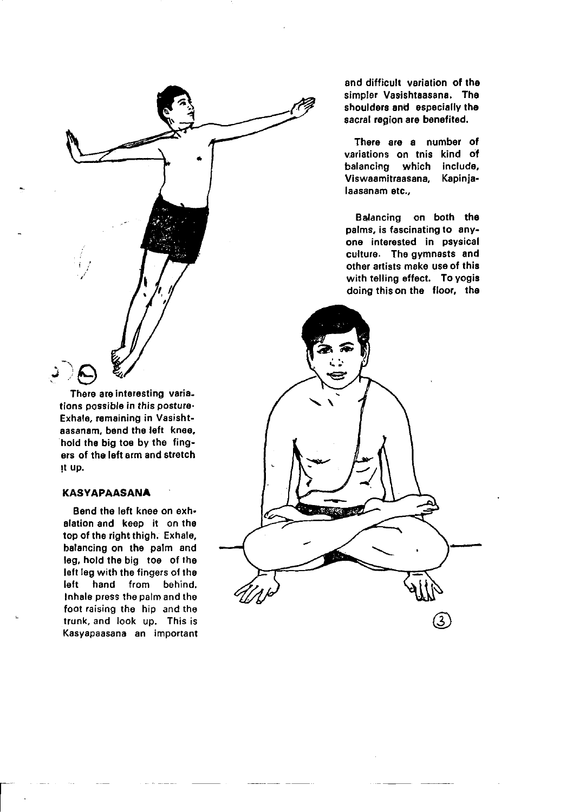

There are interesting varia. tions possible in this posture-Exhale, remaining in Vasishtaasanam, bend the left knee. hold the big toe by the fingers of the left arm and stretch it up.

### **KASYAPAASANA**

Bend the left knee on exhalation and keep it on the top of the right thigh. Exhale, balancing on the palm and leg, hold the big toe of the left leg with the fingers of the left hand from behind. Inhale press the palm and the foot raising the hip and the trunk, and look up. This is Kasyapaasana an important and difficult variation of the simpler Vasishtaasana. The shoulders and especially the sacral region are benefited.

There are a number of variations on tnis kind of balancing which include. Viswaamitraasana. Kapinialaasanam etc..

Balancing on both the palms, is fascinating to anyone interested in psysical culture. The gymnasts and other artists make use of this with telling effect. To yogis doing this on the floor, the